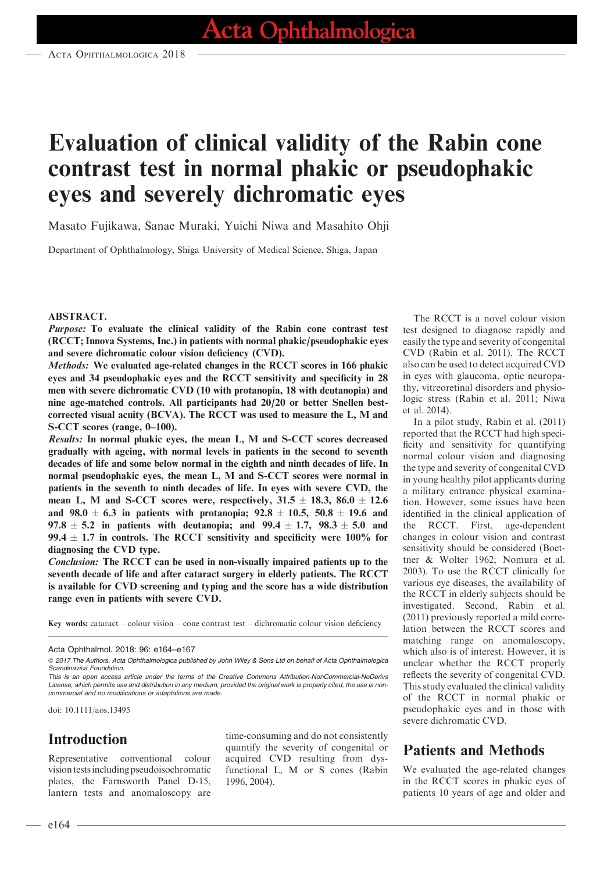# Evaluation of clinical validity of the Rabin cone contrast test in normal phakic or pseudophakic eyes and severely dichromatic eyes

Masato Fujikawa, Sanae Muraki, Yuichi Niwa and Masahito Ohji

Department of Ophthalmology, Shiga University of Medical Science, Shiga, Japan

#### ABSTRACT.

Purpose: To evaluate the clinical validity of the Rabin cone contrast test (RCCT; Innova Systems, Inc.) in patients with normal phakic/pseudophakic eyes and severe dichromatic colour vision deficiency (CVD).

Methods: We evaluated age-related changes in the RCCT scores in 166 phakic eyes and 34 pseudophakic eyes and the RCCT sensitivity and specificity in 28 men with severe dichromatic CVD (10 with protanopia, 18 with deutanopia) and nine age-matched controls. All participants had 20/20 or better Snellen bestcorrected visual acuity (BCVA). The RCCT was used to measure the L, M and S-CCT scores (range, 0–100).

Results: In normal phakic eyes, the mean L, M and S-CCT scores decreased gradually with ageing, with normal levels in patients in the second to seventh decades of life and some below normal in the eighth and ninth decades of life. In normal pseudophakic eyes, the mean L, M and S-CCT scores were normal in patients in the seventh to ninth decades of life. In eyes with severe CVD, the mean L, M and S-CCT scores were, respectively,  $31.5 \pm 18.3$ ,  $86.0 \pm 12.6$ and  $98.0 \pm 6.3$  in patients with protanopia;  $92.8 \pm 10.5$ ,  $50.8 \pm 19.6$  and 97.8  $\pm$  5.2 in patients with deutanopia; and 99.4  $\pm$  1.7, 98.3  $\pm$  5.0 and 99.4  $\pm$  1.7 in controls. The RCCT sensitivity and specificity were 100% for diagnosing the CVD type.

Conclusion: The RCCT can be used in non-visually impaired patients up to the seventh decade of life and after cataract surgery in elderly patients. The RCCT is available for CVD screening and typing and the score has a wide distribution range even in patients with severe CVD.

Key words: cataract – colour vision – cone contrast test – dichromatic colour vision deficiency

doi: 10.1111/aos.13495

# Introduction

Representative conventional colour vision testsincluding pseudoisochromatic plates, the Farnsworth Panel D-15, lantern tests and anomaloscopy are time-consuming and do not consistently quantify the severity of congenital or acquired CVD resulting from dysfunctional L, M or S cones (Rabin 1996, 2004).

The RCCT is a novel colour vision test designed to diagnose rapidly and easily the type and severity of congenital CVD (Rabin et al. 2011). The RCCT also can be used to detect acquired CVD in eyes with glaucoma, optic neuropathy, vitreoretinal disorders and physiologic stress (Rabin et al. 2011; Niwa et al. 2014).

In a pilot study, Rabin et al. (2011) reported that the RCCT had high specificity and sensitivity for quantifying normal colour vision and diagnosing the type and severity of congenital CVD in young healthy pilot applicants during a military entrance physical examination. However, some issues have been identified in the clinical application of the RCCT. First, age-dependent changes in colour vision and contrast sensitivity should be considered (Boettner & Wolter 1962; Nomura et al. 2003). To use the RCCT clinically for various eye diseases, the availability of the RCCT in elderly subjects should be investigated. Second, Rabin et al. (2011) previously reported a mild correlation between the RCCT scores and matching range on anomaloscopy, which also is of interest. However, it is unclear whether the RCCT properly reflects the severity of congenital CVD. This study evaluated the clinical validity of the RCCT in normal phakic or pseudophakic eyes and in those with severe dichromatic CVD.

### Patients and Methods

We evaluated the age-related changes in the RCCT scores in phakic eyes of patients 10 years of age and older and

Acta Ophthalmol. 2018: 96: e164–e167

ª 2017 The Authors. Acta Ophthalmologica published by John Wiley & Sons Ltd on behalf of Acta Ophthalmologica Scandinavica Foundation.

This is an open access article under the terms of the [Creative Commons Attribution-NonCommercial-NoDerivs](http://creativecommons.org/licenses/by-nc-nd/4.0/) License, which permits use and distribution in any medium, provided the original work is properly cited, the use is noncommercial and no modifications or adaptations are made.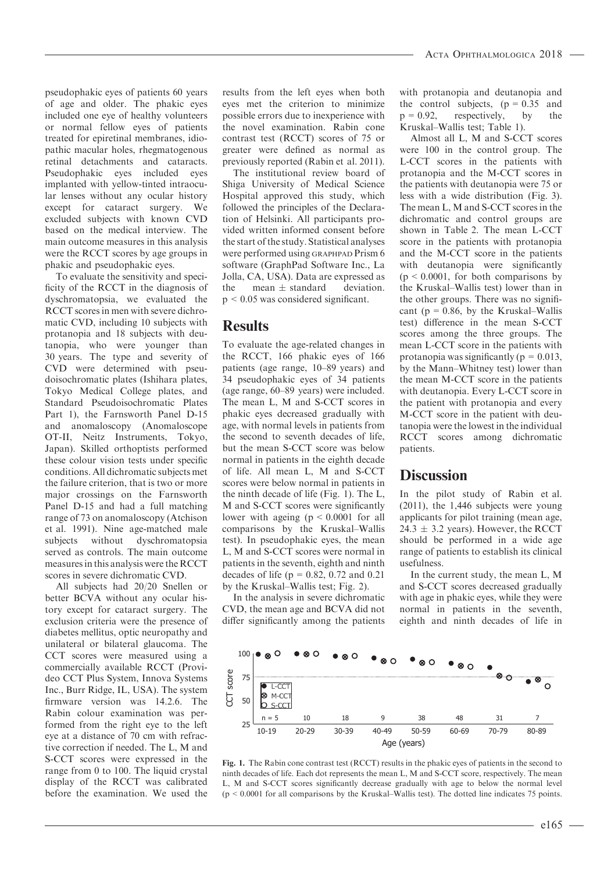pseudophakic eyes of patients 60 years of age and older. The phakic eyes included one eye of healthy volunteers or normal fellow eyes of patients treated for epiretinal membranes, idiopathic macular holes, rhegmatogenous retinal detachments and cataracts. Pseudophakic eyes included eyes implanted with yellow-tinted intraocular lenses without any ocular history except for cataract surgery. We excluded subjects with known CVD based on the medical interview. The main outcome measures in this analysis were the RCCT scores by age groups in phakic and pseudophakic eyes.

To evaluate the sensitivity and specificity of the RCCT in the diagnosis of dyschromatopsia, we evaluated the RCCT scores in men with severe dichromatic CVD, including 10 subjects with protanopia and 18 subjects with deutanopia, who were younger than 30 years. The type and severity of CVD were determined with pseudoisochromatic plates (Ishihara plates, Tokyo Medical College plates, and Standard Pseudoisochromatic Plates Part 1), the Farnsworth Panel D-15 and anomaloscopy (Anomaloscope OT-II, Neitz Instruments, Tokyo, Japan). Skilled orthoptists performed these colour vision tests under specific conditions. All dichromatic subjects met the failure criterion, that is two or more major crossings on the Farnsworth Panel D-15 and had a full matching range of 73 on anomaloscopy (Atchison et al. 1991). Nine age-matched male subjects without dyschromatopsia served as controls. The main outcome measures in this analysis were the RCCT scores in severe dichromatic CVD.

All subjects had 20/20 Snellen or better BCVA without any ocular history except for cataract surgery. The exclusion criteria were the presence of diabetes mellitus, optic neuropathy and unilateral or bilateral glaucoma. The CCT scores were measured using a commercially available RCCT (Provideo CCT Plus System, Innova Systems Inc., Burr Ridge, IL, USA). The system firmware version was 14.2.6. The Rabin colour examination was performed from the right eye to the left eye at a distance of 70 cm with refractive correction if needed. The L, M and S-CCT scores were expressed in the range from 0 to 100. The liquid crystal display of the RCCT was calibrated before the examination. We used the

results from the left eyes when both eyes met the criterion to minimize possible errors due to inexperience with the novel examination. Rabin cone contrast test (RCCT) scores of 75 or greater were defined as normal as previously reported (Rabin et al. 2011).

The institutional review board of Shiga University of Medical Science Hospital approved this study, which followed the principles of the Declaration of Helsinki. All participants provided written informed consent before the start of the study. Statistical analyses were performed using GRAPHPAD Prism 6 software (GraphPad Software Inc., La Jolla, CA, USA). Data are expressed as the mean  $\pm$  standard deviation. p < 0.05 was considered significant.

#### **Results**

To evaluate the age-related changes in the RCCT, 166 phakic eyes of 166 patients (age range, 10–89 years) and 34 pseudophakic eyes of 34 patients (age range, 60–89 years) were included. The mean L, M and S-CCT scores in phakic eyes decreased gradually with age, with normal levels in patients from the second to seventh decades of life, but the mean S-CCT score was below normal in patients in the eighth decade of life. All mean L, M and S-CCT scores were below normal in patients in the ninth decade of life (Fig. 1). The L, M and S-CCT scores were significantly lower with ageing (p < 0.0001 for all comparisons by the Kruskal–Wallis test). In pseudophakic eyes, the mean L, M and S-CCT scores were normal in patients in the seventh, eighth and ninth decades of life ( $p = 0.82, 0.72$  and 0.21 by the Kruskal–Wallis test; Fig. 2).

In the analysis in severe dichromatic CVD, the mean age and BCVA did not differ significantly among the patients with protanopia and deutanopia and the control subjects,  $(p = 0.35$  and  $p = 0.92$ , respectively, by the Kruskal–Wallis test; Table 1).

Almost all L, M and S-CCT scores were 100 in the control group. The L-CCT scores in the patients with protanopia and the M-CCT scores in the patients with deutanopia were 75 or less with a wide distribution (Fig. 3). The mean L, M and S-CCT scores in the dichromatic and control groups are shown in Table 2. The mean L-CCT score in the patients with protanopia and the M-CCT score in the patients with deutanopia were significantly  $(p < 0.0001$ , for both comparisons by the Kruskal–Wallis test) lower than in the other groups. There was no significant ( $p = 0.86$ , by the Kruskal–Wallis test) difference in the mean S-CCT scores among the three groups. The mean L-CCT score in the patients with protanopia was significantly ( $p = 0.013$ , by the Mann–Whitney test) lower than the mean M-CCT score in the patients with deutanopia. Every L-CCT score in the patient with protanopia and every M-CCT score in the patient with deutanopia were the lowest in the individual RCCT scores among dichromatic patients.

#### **Discussion**

In the pilot study of Rabin et al. (2011), the 1,446 subjects were young applicants for pilot training (mean age, 24.3  $\pm$  3.2 years). However, the RCCT should be performed in a wide age range of patients to establish its clinical usefulness.

In the current study, the mean L, M and S-CCT scores decreased gradually with age in phakic eyes, while they were normal in patients in the seventh, eighth and ninth decades of life in



Fig. 1. The Rabin cone contrast test (RCCT) results in the phakic eyes of patients in the second to ninth decades of life. Each dot represents the mean L, M and S-CCT score, respectively. The mean L, M and S-CCT scores significantly decrease gradually with age to below the normal level  $(p < 0.0001$  for all comparisons by the Kruskal–Wallis test). The dotted line indicates 75 points.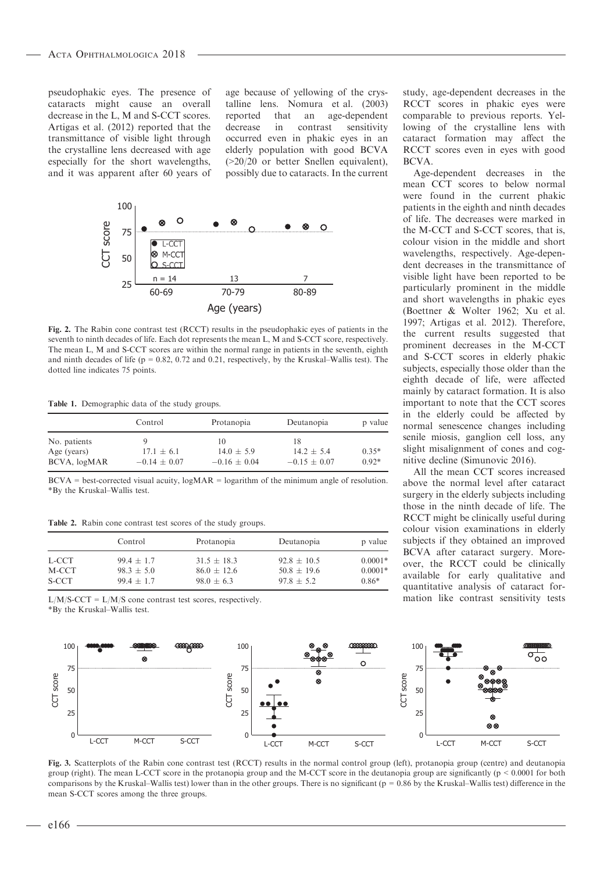pseudophakic eyes. The presence of cataracts might cause an overall decrease in the L, M and S-CCT scores. Artigas et al. (2012) reported that the transmittance of visible light through the crystalline lens decreased with age especially for the short wavelengths, and it was apparent after 60 years of age because of yellowing of the crystalline lens. Nomura et al. (2003) reported that an age-dependent decrease in contrast sensitivity occurred even in phakic eyes in an elderly population with good BCVA (>20/20 or better Snellen equivalent), possibly due to cataracts. In the current



Fig. 2. The Rabin cone contrast test (RCCT) results in the pseudophakic eyes of patients in the seventh to ninth decades of life. Each dot represents the mean L, M and S-CCT score, respectively. The mean L, M and S-CCT scores are within the normal range in patients in the seventh, eighth and ninth decades of life ( $p = 0.82$ , 0.72 and 0.21, respectively, by the Kruskal–Wallis test). The dotted line indicates 75 points.

Table 1. Demographic data of the study groups.

|                             | Control          | Protanopia           | Deutanopia           | p value |
|-----------------------------|------------------|----------------------|----------------------|---------|
| No. patients<br>Age (years) | $17.1 \pm 6.1$   | 10<br>$14.0 \pm 5.9$ | 18<br>$14.2 \pm 5.4$ | $0.35*$ |
| BCVA, logMAR                | $-0.14 \pm 0.07$ | $-0.16 \pm 0.04$     | $-0.15 \pm 0.07$     | $0.92*$ |

 $BCVA = best-corrected visual acuity, logMAR = logarithm of the minimum angle of resolution.$ \*By the Kruskal–Wallis test.

Table 2. Rabin cone contrast test scores of the study groups.

|       | Control      | Protanopia      | Deutanopia      | p value   |
|-------|--------------|-----------------|-----------------|-----------|
| L-CCT | $99.4 + 1.7$ | $31.5 \pm 18.3$ | $92.8 + 10.5$   | $0.0001*$ |
| M-CCT | $98.3 + 5.0$ | $86.0 + 12.6$   | $50.8 \pm 19.6$ | $0.0001*$ |
| S-CCT | $99.4 + 1.7$ | $98.0 \pm 6.3$  | $97.8 + 5.2$    | $0.86*$   |

 $L/M/S-CCT = L/M/S$  cone contrast test scores, respectively. \*By the Kruskal–Wallis test.

study, age-dependent decreases in the RCCT scores in phakic eyes were comparable to previous reports. Yellowing of the crystalline lens with cataract formation may affect the RCCT scores even in eyes with good BCVA.

Age-dependent decreases in the mean CCT scores to below normal were found in the current phakic patients in the eighth and ninth decades of life. The decreases were marked in the M-CCT and S-CCT scores, that is, colour vision in the middle and short wavelengths, respectively. Age-dependent decreases in the transmittance of visible light have been reported to be particularly prominent in the middle and short wavelengths in phakic eyes (Boettner & Wolter 1962; Xu et al. 1997; Artigas et al. 2012). Therefore, the current results suggested that prominent decreases in the M-CCT and S-CCT scores in elderly phakic subjects, especially those older than the eighth decade of life, were affected mainly by cataract formation. It is also important to note that the CCT scores in the elderly could be affected by normal senescence changes including senile miosis, ganglion cell loss, any slight misalignment of cones and cognitive decline (Simunovic 2016).

All the mean CCT scores increased above the normal level after cataract surgery in the elderly subjects including those in the ninth decade of life. The RCCT might be clinically useful during colour vision examinations in elderly subjects if they obtained an improved BCVA after cataract surgery. Moreover, the RCCT could be clinically available for early qualitative and quantitative analysis of cataract formation like contrast sensitivity tests



Fig. 3. Scatterplots of the Rabin cone contrast test (RCCT) results in the normal control group (left), protanopia group (centre) and deutanopia group (right). The mean L-CCT score in the protanopia group and the M-CCT score in the deutanopia group are significantly (p < 0.0001 for both comparisons by the Kruskal–Wallis test) lower than in the other groups. There is no significant ( $p = 0.86$  by the Kruskal–Wallis test) difference in the mean S-CCT scores among the three groups.